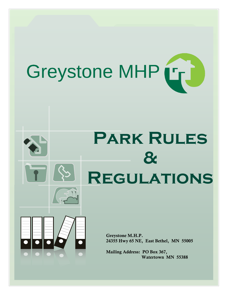

# **Park Rules & Regulations**

Greystone M.H.P. 24355 Hwy 65 NE, East Bethel, MN 55005

Mailing Address: PO Box 367, Watertown MN 55388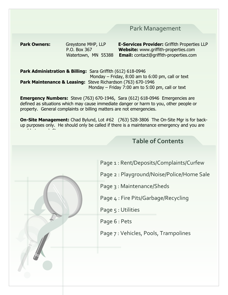# Park Management

**Park Owners:** Greystone MHP, LLP **E-Services Provider:** Griffith Properties LLP

 P.O. Box 367 **Website:** www.griffith-properties.com Watertown, MN 55388 **Email:** contact@griffith-properties.com

**Park Administration & Billing:** Sara Griffith (612) 618-0946 Monday – Friday, 8:00 am to 6:00 pm, call or text **Park Maintenance & Leasing:** Steve Richardson (763) 670-1946 Monday – Friday 7:00 am to 5:00 pm, call or text

**Emergency Numbers:** Steve (763) 670-1946, Sara (612) 618-0946 Emergencies are defined as situations which may cause immediate danger or harm to you, other people or property. General complaints or billing matters are not emergencies.

**On-Site Management:** Chad Bylund, Lot #62 (763) 528-3806 The On-Site Mgr is for backup purposes only. He should only be called if there is a maintenance emergency and you are unable to reach Steve.

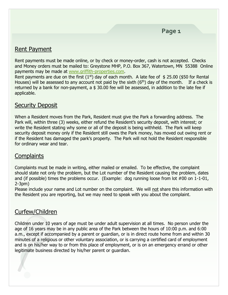# Rent Payment

Rent payments must be made online, or by check or money-order, cash is not accepted. Checks and Money orders must be mailed to: Greystone MHP, P.O. Box 367, Watertown, MN 55388 Online payments may be made at [www.griffith-properties.com.](http://www.griffith-properties.com/)

Rent payments are due on the first  $(1<sup>st</sup>)$  day of each month. A late fee of \$ 25.00 (\$50 for Rental Houses) will be assessed to any account not paid by the sixth  $(6<sup>th</sup>)$  day of the month. If a check is returned by a bank for non-payment, a  $$30.00$  fee will be assessed, in addition to the late fee if applicable.

#### Security Deposit

When a Resident moves from the Park, Resident must give the Park a forwarding address. The Park will, within three (3) weeks, either refund the Resident's security deposit, with interest; or write the Resident stating why some or all of the deposit is being withheld. The Park will keep security deposit money only if the Resident still owes the Park money, has moved out owing rent or if the Resident has damaged the park's property. The Park will not hold the Resident responsible for ordinary wear and tear.

# **Complaints**

Complaints must be made in writing, either mailed or emailed. To be effective, the complaint should state not only the problem, but the Lot number of the Resident causing the problem, dates and (if possible) times the problems occur. (Example: dog running loose from lot #00 on 1-1-01, 2-3pm)

Please include your name and Lot number on the complaint. We will not share this information with the Resident you are reporting, but we may need to speak with you about the complaint.

# Curfew/Children

Children under 10 years of age must be under adult supervision at all times. No person under the age of 16 years may be in any public area of the Park between the hours of 10:00 p.m. and 6:00 a.m., except if accompanied by a parent or guardian, or is in direct route home from and within 30 minutes of a religious or other voluntary association, or is carrying a certified card of employment and is on his/her way to or from this place of employment, or is on an emergency errand or other legitimate business directed by his/her parent or guardian.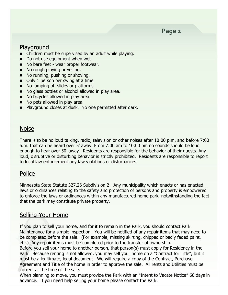**Page 2**

## Playground

- Children must be supervised by an adult while playing.
- Do not use equipment when wet.
- No bare feet wear proper footwear.
- No rough playing or yelling.
- No running, pushing or shoving.
- Only 1 person per swing at a time.
- No jumping off slides or platforms.
- No glass bottles or alcohol allowed in play area.
- No bicycles allowed in play area.
- No pets allowed in play area.
- Playground closes at dusk. No one permitted after dark.

#### **Noise**

There is to be no loud talking, radio, television or other noises after 10:00 p.m. and before 7:00 a.m. that can be heard over 5' away. From 7:00 am to 10:00 pm no sounds should be loud enough to hear over 50' away. Residents are responsible for the behavior of their guests. Any loud, disruptive or disturbing behavior is strictly prohibited. Residents are responsible to report to local law enforcement any law violations or disturbances.

## Police

Minnesota State Statute 327.26 Subdivision 2: Any municipality which enacts or has enacted laws or ordinances relating to the safety and protection of persons and property is empowered to enforce the laws or ordinances within any manufactured home park, notwithstanding the fact that the park may constitute private property.

## Selling Your Home

If you plan to sell your home, and for it to remain in the Park, you should contact Park Maintenance for a simple inspection. You will be notified of any repair items that may need to be completed before the sale. (For example, missing skirting, chipped or badly faded paint, etc.) Any repair items must be completed prior to the transfer of ownership.

Before you sell your home to another person, that person(s) must apply for Residency in the Park. Because renting is not allowed, you may sell your home on a "Contract for Title", but it must be a legitimate, legal document. We will require a copy of the Contract, Purchase Agreement and Title of the home in order to approve the sale. All rents and Utilities must be current at the time of the sale.

When planning to move, you must provide the Park with an "Intent to Vacate Notice" 60 days in advance. If you need help selling your home please contact the Park.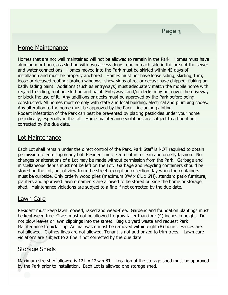## Home Maintenance

Homes that are not well maintained will not be allowed to remain in the Park. Homes must have aluminum or fiberglass skirting with two access doors, one on each side in the area of the sewer and water connections. Homes moved into the Park must be skirted within 45 days of installation and must be properly anchored. Homes must not have loose siding, skirting, trim; loose or decayed roofing; broken windows; show signs of rot or decay; have chipped, flaking or badly fading paint. Additions (such as entryways) must adequately match the mobile home with regard to siding, roofing, skirting and paint. Entryways and/or decks may not cover the driveway or block the use of it. Any additions or decks must be approved by the Park before being constructed. All homes must comply with state and local building, electrical and plumbing codes. Any alteration to the home must be approved by the Park – including painting. Rodent infestation of the Park can best be prevented by placing pesticides under your home periodically, especially in the fall. Home maintenance violations are subject to a fine if not corrected by the due date.

## Lot Maintenance

Each Lot shall remain under the direct control of the Park. Park Staff is NOT required to obtain permission to enter upon any Lot. Resident must keep Lot in a clean and orderly fashion. No changes or alterations of a Lot may be made without permission from the Park. Garbage and miscellaneous debris must not be left on the Lot. Garbage and recycling containers should be stored on the Lot, out of view from the street, except on collection day when the containers must be curbside. Only orderly wood piles (maximum 3'W x 6'L x 6'H), standard patio furniture, planters and approved lawn ornaments are allowed to be stored outside the home or storage shed. Maintenance violations are subject to a fine if not corrected by the due date.

# Lawn Care

Resident must keep lawn mowed, raked and weed-free. Gardens and foundation plantings must be kept weed free. Grass must not be allowed to grow taller than four (4) inches in height. Do not blow leaves or lawn clippings into the street. Bag up yard waste and request Park Maintenance to pick it up. Animal waste must be removed within eight (8) hours. Fences are not allowed. Clothes-lines are not allowed. Tenant is not authorized to trim trees. Lawn care violations are subject to a fine if not corrected by the due date.

# Storage Sheds

Maximum size shed allowed is 12'L x 12'w x 8'h. Location of the storage shed must be approved by the Park prior to installation. Each Lot is allowed one storage shed.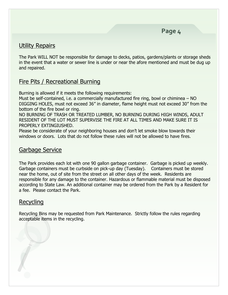# Utility Repairs

The Park WILL NOT be responsible for damage to decks, patios, gardens/plants or storage sheds in the event that a water or sewer line is under or near the afore mentioned and must be dug up and repaired.

# Fire Pits / Recreational Burning

Burning is allowed if it meets the following requirements:

Must be self-contained, i.e. a commercially manufactured fire ring, bowl or chiminea – NO DIGGING HOLES, must not exceed 36" in diameter, flame height must not exceed 30" from the bottom of the fire bowl or ring.

NO BURNING OF TRASH OR TREATED LUMBER, NO BURNING DURING HIGH WINDS, ADULT RESIDENT OF THE LOT MUST SUPERVISE THE FIRE AT ALL TIMES AND MAKE SURE IT IS PROPERLY EXTINGIUSHED.

Please be considerate of your neighboring houses and don't let smoke blow towards their windows or doors. Lots that do not follow these rules will not be allowed to have fires.

# Garbage Service

The Park provides each lot with one 90 gallon garbage container. Garbage is picked up weekly. Garbage containers must be curbside on pick-up day (Tuesday). Containers must be stored near the home, out of site from the street on all other days of the week. Residents are responsible for any damage to the container. Hazardous or flammable material must be disposed according to State Law. An additional container may be ordered from the Park by a Resident for a fee. Please contact the Park.

# Recycling

Recycling Bins may be requested from Park Maintenance. Strictly follow the rules regarding acceptable items in the recycling.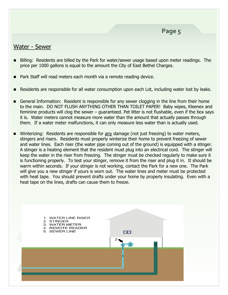#### Water - Sewer

- Billing: Residents are billed by the Park for water/sewer usage based upon meter readings. The price per 1000 gallons is equal to the amount the City of East Bethel Charges.
- Park Staff will read meters each month via a remote reading device.
- Residents are responsible for all water consumption upon each Lot, including water lost by leaks.
- General Information: Resident is responsible for any sewer clogging in the line from their home to the main. DO NOT FLUSH ANYTHING OTHER THAN TOILET PAPER! Baby wipes, Kleenex and feminine products will clog the sewer – guaranteed. Pet litter is not flushable, even if the box says it is. Water meters cannot measure more water than the amount that actually passes through them. If a water meter malfunctions, it can only measure less water than is actually used.
- Winterizing: Residents are responsible for any damage (not just freezing) to water meters, stingers and risers. Residents must properly winterize their home to prevent freezing of sewer and water lines. Each riser (the water pipe coming out of the ground) is equipped with a stinger. A stinger is a heating element that the resident must plug into an electrical cord. The stinger will keep the water in the riser from freezing. The stinger must be checked regularly to make sure it is functioning properly. To test your stinger, remove it from the riser and plug it in. It should be warm within seconds. If your stinger is not working, contact the Park for a new one. The Park will give you a new stinger if yours is worn out. The water lines and meter must be protected with heat tape. You should prevent drafts under your home by properly insulating. Even with a heat tape on the lines, drafts can cause them to freeze.

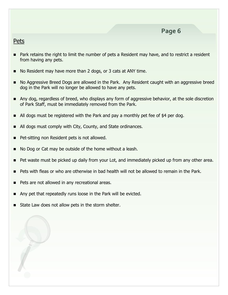#### **Pets**

- Park retains the right to limit the number of pets a Resident may have, and to restrict a resident from having any pets.
- No Resident may have more than 2 dogs, or 3 cats at ANY time.
- No Aggressive Breed Dogs are allowed in the Park. Any Resident caught with an aggressive breed dog in the Park will no longer be allowed to have any pets.
- Any dog, regardless of breed, who displays any form of aggressive behavior, at the sole discretion of Park Staff, must be immediately removed from the Park.
- All dogs must be registered with the Park and pay a monthly pet fee of \$4 per dog.
- All dogs must comply with City, County, and State ordinances.
- Pet-sitting non Resident pets is not allowed.
- No Dog or Cat may be outside of the home without a leash.
- Pet waste must be picked up daily from your Lot, and immediately picked up from any other area.
- Pets with fleas or who are otherwise in bad health will not be allowed to remain in the Park.
- Pets are not allowed in any recreational areas.
- Any pet that repeatedly runs loose in the Park will be evicted.
- State Law does not allow pets in the storm shelter.